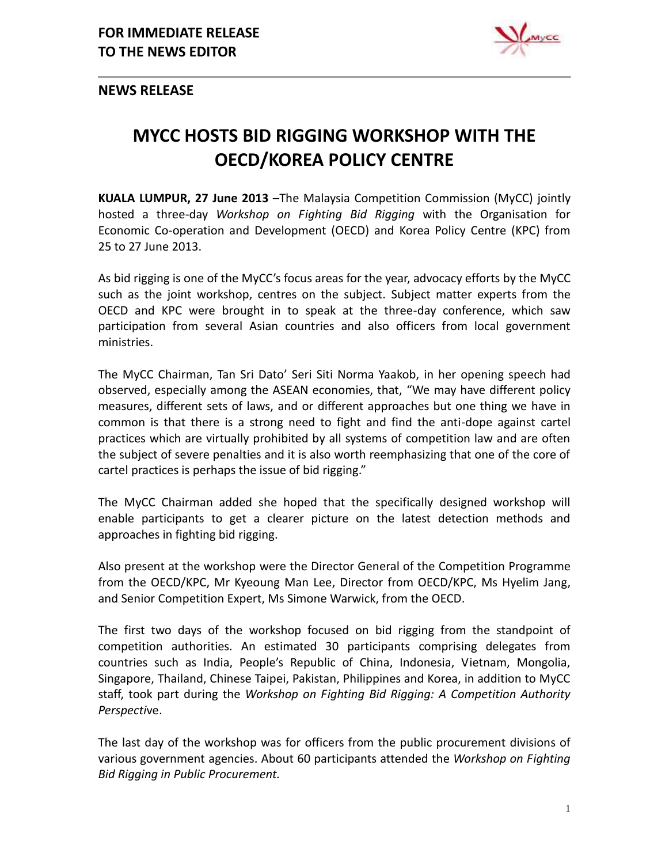

**NEWS RELEASE**

## **MYCC HOSTS BID RIGGING WORKSHOP WITH THE OECD/KOREA POLICY CENTRE**

**KUALA LUMPUR, 27 June 2013** –The Malaysia Competition Commission (MyCC) jointly hosted a three-day *Workshop on Fighting Bid Rigging* with the Organisation for Economic Co-operation and Development (OECD) and Korea Policy Centre (KPC) from 25 to 27 June 2013.

As bid rigging is one of the MyCC's focus areas for the year, advocacy efforts by the MyCC such as the joint workshop, centres on the subject. Subject matter experts from the OECD and KPC were brought in to speak at the three-day conference, which saw participation from several Asian countries and also officers from local government ministries.

The MyCC Chairman, Tan Sri Dato' Seri Siti Norma Yaakob, in her opening speech had observed, especially among the ASEAN economies, that, "We may have different policy measures, different sets of laws, and or different approaches but one thing we have in common is that there is a strong need to fight and find the anti-dope against cartel practices which are virtually prohibited by all systems of competition law and are often the subject of severe penalties and it is also worth reemphasizing that one of the core of cartel practices is perhaps the issue of bid rigging."

The MyCC Chairman added she hoped that the specifically designed workshop will enable participants to get a clearer picture on the latest detection methods and approaches in fighting bid rigging.

Also present at the workshop were the Director General of the Competition Programme from the OECD/KPC, Mr Kyeoung Man Lee, Director from OECD/KPC, Ms Hyelim Jang, and Senior Competition Expert, Ms Simone Warwick, from the OECD.

The first two days of the workshop focused on bid rigging from the standpoint of competition authorities. An estimated 30 participants comprising delegates from countries such as India, People's Republic of China, Indonesia, Vietnam, Mongolia, Singapore, Thailand, Chinese Taipei, Pakistan, Philippines and Korea, in addition to MyCC staff, took part during the *Workshop on Fighting Bid Rigging: A Competition Authority Perspecti*ve.

The last day of the workshop was for officers from the public procurement divisions of various government agencies. About 60 participants attended the *Workshop on Fighting Bid Rigging in Public Procurement.*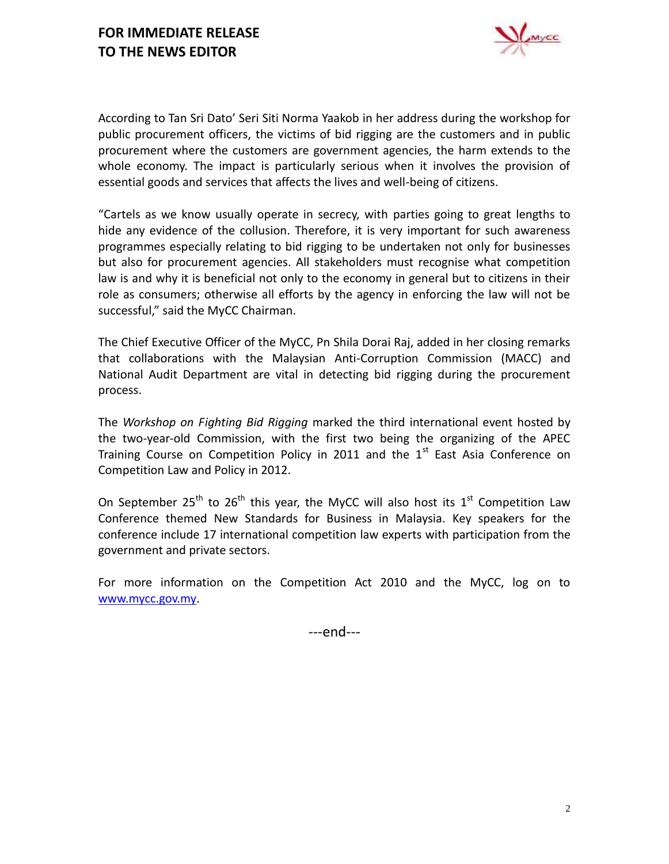

According to Tan Sri Dato' Seri Siti Norma Yaakob in her address during the workshop for public procurement officers, the victims of bid rigging are the customers and in public procurement where the customers are government agencies, the harm extends to the whole economy. The impact is particularly serious when it involves the provision of essential goods and services that affects the lives and well-being of citizens.

"Cartels as we know usually operate in secrecy, with parties going to great lengths to hide any evidence of the collusion. Therefore, it is very important for such awareness programmes especially relating to bid rigging to be undertaken not only for businesses but also for procurement agencies. All stakeholders must recognise what competition law is and why it is beneficial not only to the economy in general but to citizens in their role as consumers; otherwise all efforts by the agency in enforcing the law will not be successful," said the MyCC Chairman.

The Chief Executive Officer of the MyCC, Pn Shila Dorai Raj, added in her closing remarks that collaborations with the Malaysian Anti-Corruption Commission (MACC) and National Audit Department are vital in detecting bid rigging during the procurement process.

The *Workshop on Fighting Bid Rigging* marked the third international event hosted by the two-year-old Commission, with the first two being the organizing of the APEC Training Course on Competition Policy in 2011 and the  $1<sup>st</sup>$  East Asia Conference on Competition Law and Policy in 2012.

On September 25<sup>th</sup> to 26<sup>th</sup> this year, the MyCC will also host its 1<sup>st</sup> Competition Law Conference themed New Standards for Business in Malaysia. Key speakers for the conference include 17 international competition law experts with participation from the government and private sectors.

For more information on the Competition Act 2010 and the MyCC, log on to [www.mycc.gov.my.](http://www.mycc.gov.my/)

---end---